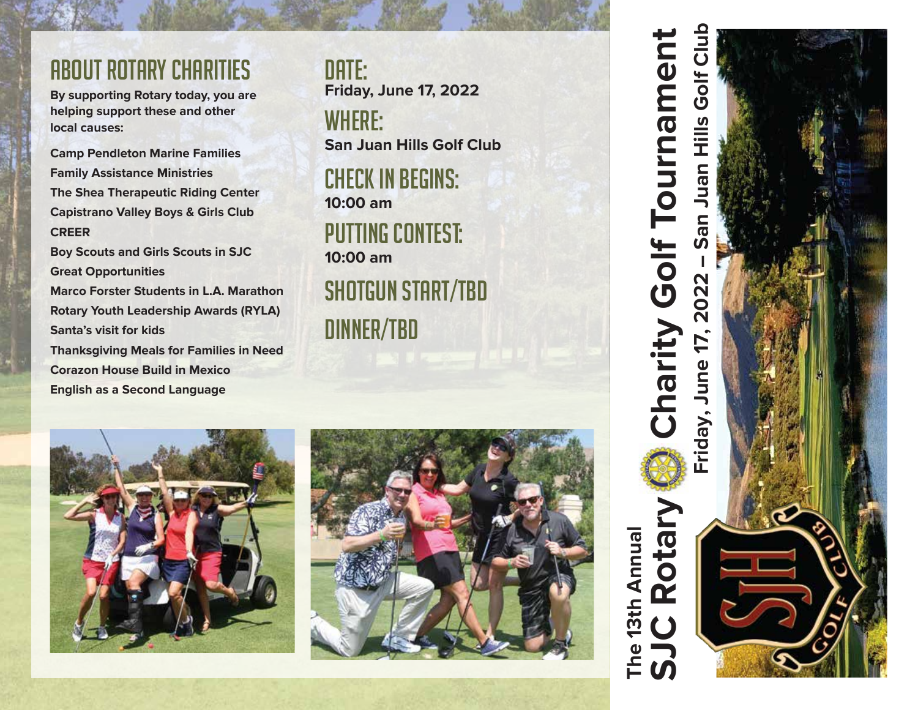# about rotary charities

**By supporting Rotary today, you are helping support these and other local causes:**

**Camp Pendleton Marine Families Family Assistance Ministries The Shea Therapeutic Riding Center Capistrano Valley Boys & Girls Club CREER**

**Boy Scouts and Girls Scouts in SJC Great Opportunities Marco Forster Students in L.A. Marathon Rotary Youth Leadership Awards (RYLA) Santa's visit for kids Thanksgiving Meals for Families in Need**

**Corazon House Build in Mexico English as a Second Language**

DATE: : **Friday, June 17, 2022** WHERE: **San Juan Hills Golf Club**

Check in Begins: **10:00 am** PUTTING CONTEST: **10:00 am**

SHOTGUN START/TBD Dinner/TBD







**The 13th Annual**

13th Annual